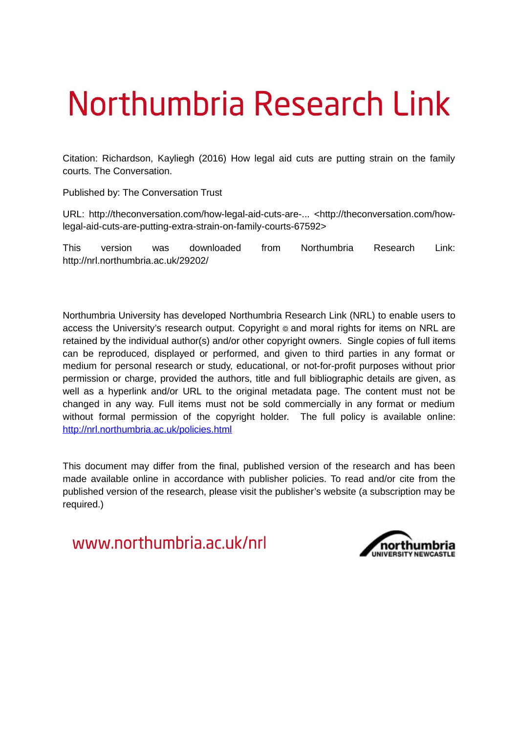# Northumbria Research Link

Citation: Richardson, Kayliegh (2016) How legal aid cuts are putting strain on the family courts. The Conversation.

Published by: The Conversation Trust

URL: http://theconversation.com/how-legal-aid-cuts-are-... <http://theconversation.com/howlegal-aid-cuts-are-putting-extra-strain-on-family-courts-67592>

This version was downloaded from Northumbria Research Link: http://nrl.northumbria.ac.uk/29202/

Northumbria University has developed Northumbria Research Link (NRL) to enable users to access the University's research output. Copyright  $\circ$  and moral rights for items on NRL are retained by the individual author(s) and/or other copyright owners. Single copies of full items can be reproduced, displayed or performed, and given to third parties in any format or medium for personal research or study, educational, or not-for-profit purposes without prior permission or charge, provided the authors, title and full bibliographic details are given, as well as a hyperlink and/or URL to the original metadata page. The content must not be changed in any way. Full items must not be sold commercially in any format or medium without formal permission of the copyright holder. The full policy is available online: <http://nrl.northumbria.ac.uk/policies.html>

This document may differ from the final, published version of the research and has been made available online in accordance with publisher policies. To read and/or cite from the published version of the research, please visit the publisher's website (a subscription may be required.)

www.northumbria.ac.uk/nrl

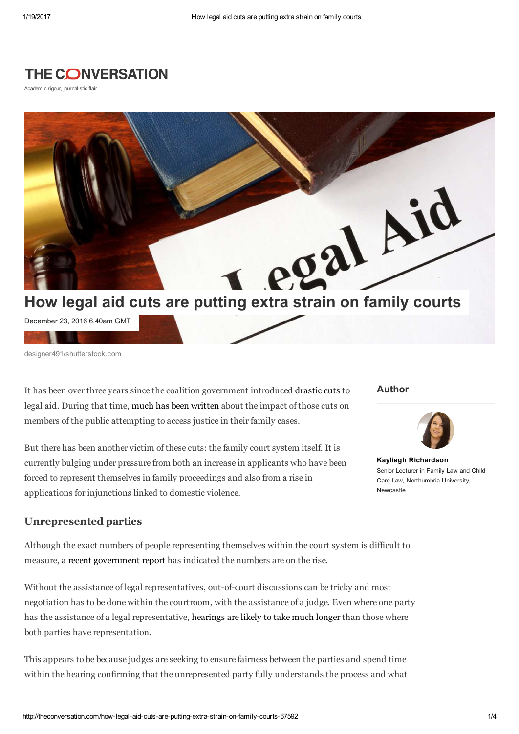## **THE CONVERSATION**

Academic rigour, journalistic flair



December 23, 2016 6.40am GMT

designer491/shutterstock.com

It has been over three years since the coalition government introduced [drastic cuts](http://www.bbc.co.uk/news/uk-politics-22936684) to legal aid. During that time, [much has been written](https://theconversation.com/innocents-will-suffer-as-legal-cuts-put-paid-to-due-process-21775) about the impact of those cuts on members of the public attempting to access justice in their family cases.

But there has been another victim of these cuts: the family court system itself. It is currently bulging under pressure from both an increase in applicants who have been forced to represent themselves in family proceedings and also from a rise in applications for injunctions linked to domestic violence.

#### Author



[Kayliegh Richardson](http://theconversation.com/profiles/kayliegh-richardson-299924) Senior Lecturer in Family Law and Child Care Law, Northumbria University, Newcastle

### Unrepresented parties

Although the exact numbers of people representing themselves within the court system is difficult to measure, [a recent government report](http://researchbriefings.parliament.uk/ResearchBriefing/Summary/SN07113) has indicated the numbers are on the rise.

Without the assistance of legal representatives, out-of-court discussions can be tricky and most negotiation has to be done within the courtroom, with the assistance of a judge. Even where one party has the assistance of a legal representative, [hearings are likely to take much longer](https://www.gov.uk/government/uploads/system/uploads/attachment_data/file/380479/litigants-in-person-in-private-family-law-cases.pdf) than those where both parties have representation.

This appears to be because judges are seeking to ensure fairness between the parties and spend time within the hearing confirming that the unrepresented party fully understands the process and what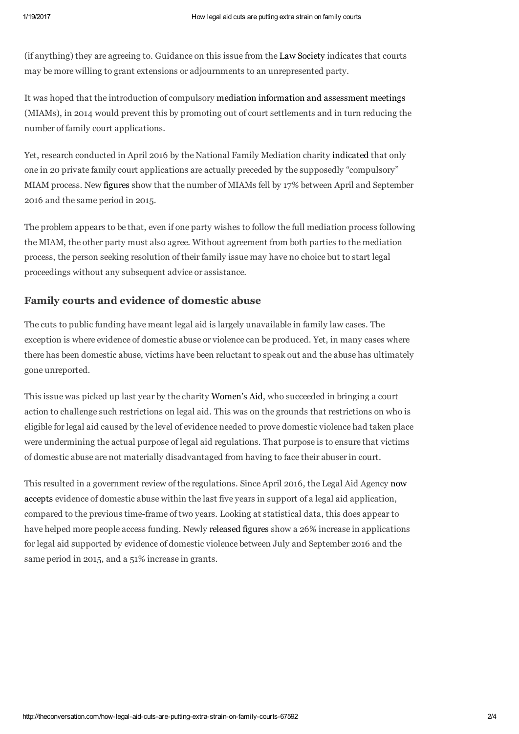(if anything) they are agreeing to. Guidance on this issue from the [Law Society](http://www.lawsociety.org.uk/news/documents/litigants-in-person-guidelines-for-lawyers-june-2015/) indicates that courts may be more willing to grant extensions or adjournments to an unrepresented party.

It was hoped that the introduction of compulsory [mediation information and assessment meetings](http://www.familymediationcouncil.org.uk/family-mediation/assessment-meeting-miam/) (MIAMs), in 2014 would prevent this by promoting out of court settlements and in turn reducing the number of family court applications.

Yet, research conducted in April 2016 by the National Family Mediation charity [indicated](http://www.nfm.org.uk/index.php/about-nfm/news/605-government-divorce-policy-failing-as-separating-couples-head-straight-to-court) that only one in 20 private family court applications are actually preceded by the supposedly "compulsory" MIAM process. New [figures](https://www.gov.uk/government/uploads/system/uploads/attachment_data/file/577475/legal-aid-statistics-bulletin.pdf) show that the number of MIAMs fell by 17% between April and September 2016 and the same period in 2015.

The problem appears to be that, even if one party wishes to follow the full mediation process following the MIAM, the other party must also agree. Without agreement from both parties to the mediation process, the person seeking resolution of their family issue may have no choice but to start legal proceedings without any subsequent advice or assistance.

## Family courts and evidence of domestic abuse

The cuts to public funding have meant legal aid is largely unavailable in family law cases. The exception is where evidence of domestic abuse or violence can be produced. Yet, in many cases where there has been domestic abuse, victims have been reluctant to speak out and the abuse has ultimately gone unreported.

This issue was picked up last year by the charity [Women's Aid](https://www.theguardian.com/law/2016/feb/18/changes-to-legal-aid-for-domestic-violence-victims-ruled-invalid), who succeeded in bringing a court action to challenge such restrictions on legal aid. This was on the grounds that restrictions on who is eligible for legal aid caused by the level of evidence needed to prove domestic violence had taken place were undermining the actual purpose of legal aid regulations. That purpose is to ensure that victims of domestic abuse are not materially disadvantaged from having to face their abuser in court.

[This resulted in a government review of the regulations. Since April 2016, the Legal Aid Agency now](http://www.familylawweek.co.uk/site.aspx?i=ed160432)  accepts evidence of domestic abuse within the last five years in support of a legal aid application, compared to the previous time-frame of two years. Looking at statistical data, this does appear to have helped more people access funding. Newly [released figures](https://www.gov.uk/government/statistics/legal-aid-statistics-july-to-september-2016) show a 26% increase in applications for legal aid supported by evidence of domestic violence between July and September 2016 and the same period in 2015, and a 51% increase in grants.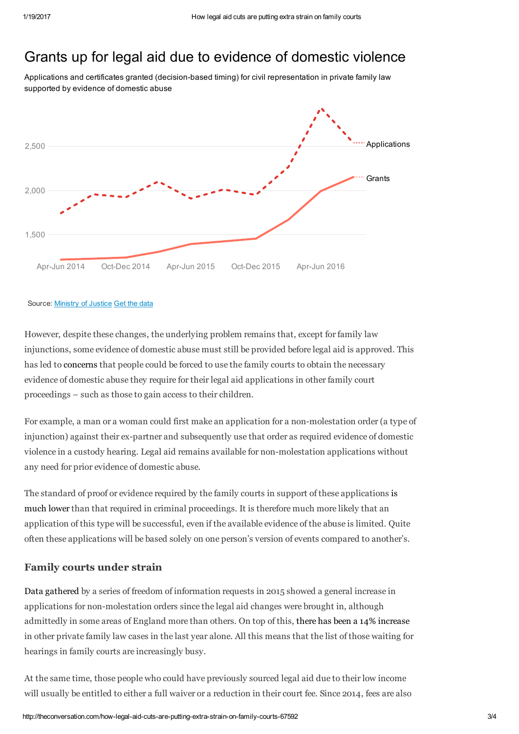# Grants up for legal aid due to evidence of domestic violence

Applications and certificates granted (decision-based timing) for civil representation in private family law supported by evidence of domestic abuse



#### Source: [Ministry of Justice](https://www.gov.uk/government/uploads/system/uploads/attachment_data/file/577475/legal-aid-statistics-bulletin.pdf) [Get the data](data:application/octet-stream;charset=utf-8,Period%2CApplications%2CGrants%0AApr-Jun%202014%2C1745%2C1218%0AJul-Sep%202014%2C1959%2C1229%0AOct-Dec%202014%2C1926%2C1242%0AJan-Mar%202015%2C2105%2C1306%0AApr-Jun%202015%2C1911%2C1395%0AJul-Sep%202015%2C2014%2C1425%0AOct-Dec%202015%2C1952%2C1456%0AJan-Mar%202016%2C2269%2C1670%0AApr-Jun%202016%2C2941%2C1996%0AJul-Sep%202016%2C2543%2C2155)

However, despite these changes, the underlying problem remains that, except for family law injunctions, some evidence of domestic abuse must still be provided before legal aid is approved. This has led to [concerns](http://thecustodyminefield.blogspot.co.uk/2014/01/abusing-legal-aid.html) that people could be forced to use the family courts to obtain the necessary evidence of domestic abuse they require for their legal aid applications in other family court proceedings – such as those to gain access to their children.

For example, a man or a woman could first make an application for a non-molestation order (a type of injunction) against their ex-partner and subsequently use that order as required evidence of domestic violence in a custody hearing. Legal aid remains available for non-molestation applications without any need for prior evidence of domestic abuse.

[The standard of proof or evidence required by the family courts in support of these applications is](http://www.marilynstowe.co.uk/2015/05/23/the-standard-of-proof-in-family-law/)  much lower than that required in criminal proceedings. It is therefore much more likely that an application of this type will be successful, even if the available evidence of the abuse is limited. Quite often these applications will be based solely on one person's version of events compared to another's.

### Family courts under strain

[Data gathered](http://thecustodyminefield.com/non-molestation-orders-the-national-picture-north-west-anomaly-and-fpcs/) by a series of freedom of information requests in 2015 showed a general increase in applications for non-molestation orders since the legal aid changes were brought in, although admittedly in some areas of England more than others. On top of this, [there has been a 14% increase](https://www.gov.uk/government/uploads/system/uploads/attachment_data/file/577502/family-court-statistics-quarterly.pdf) in other private family law cases in the last year alone. All this means that the list of those waiting for hearings in family courts are increasingly busy.

At the same time, those people who could have previously sourced legal aid due to their low income will usually be entitled to either a full waiver or a reduction in their court fee. Since 2014, fees are also